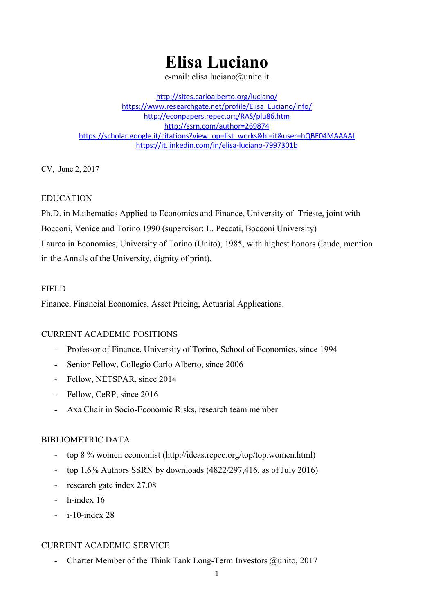# Elisa Luciano

e-mail: elisa.luciano@unito.it

http://sites.carloalberto.org/luciano/ https://www.researchgate.net/profile/Elisa\_Luciano/info/ http://econpapers.repec.org/RAS/plu86.htm http://ssrn.com/author=269874 https://scholar.google.it/citations?view\_op=list\_works&hl=it&user=hQBE04MAAAAJ https://it.linkedin.com/in/elisa-luciano-7997301b

CV, June 2, 2017

## EDUCATION

Ph.D. in Mathematics Applied to Economics and Finance, University of Trieste, joint with Bocconi, Venice and Torino 1990 (supervisor: L. Peccati, Bocconi University) Laurea in Economics, University of Torino (Unito), 1985, with highest honors (laude, mention in the Annals of the University, dignity of print).

## **FIELD**

Finance, Financial Economics, Asset Pricing, Actuarial Applications.

# CURRENT ACADEMIC POSITIONS

- Professor of Finance, University of Torino, School of Economics, since 1994
- Senior Fellow, Collegio Carlo Alberto, since 2006
- Fellow, NETSPAR, since 2014
- Fellow, CeRP, since 2016
- Axa Chair in Socio-Economic Risks, research team member

# BIBLIOMETRIC DATA

- top 8 % women economist (http://ideas.repec.org/top/top.women.html)
- top 1,6% Authors SSRN by downloads (4822/297,416, as of July 2016)
- research gate index 27.08
- h-index 16
- i-10-index 28

# CURRENT ACADEMIC SERVICE

Charter Member of the Think Tank Long-Term Investors @unito, 2017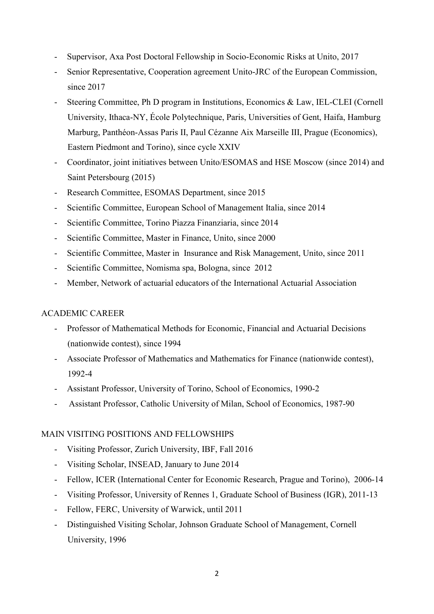- Supervisor, Axa Post Doctoral Fellowship in Socio-Economic Risks at Unito, 2017
- Senior Representative, Cooperation agreement Unito-JRC of the European Commission, since 2017
- Steering Committee, Ph D program in Institutions, Economics & Law, IEL-CLEI (Cornell) University, Ithaca-NY, École Polytechnique, Paris, Universities of Gent, Haifa, Hamburg Marburg, Panthéon-Assas Paris II, Paul Cézanne Aix Marseille III, Prague (Economics), Eastern Piedmont and Torino), since cycle XXIV
- Coordinator, joint initiatives between Unito/ESOMAS and HSE Moscow (since 2014) and Saint Petersbourg (2015)
- Research Committee, ESOMAS Department, since 2015
- Scientific Committee, European School of Management Italia, since 2014
- Scientific Committee, Torino Piazza Finanziaria, since 2014
- Scientific Committee, Master in Finance, Unito, since 2000
- Scientific Committee, Master in Insurance and Risk Management, Unito, since 2011
- Scientific Committee, Nomisma spa, Bologna, since 2012
- Member, Network of actuarial educators of the International Actuarial Association

## ACADEMIC CAREER

- Professor of Mathematical Methods for Economic, Financial and Actuarial Decisions (nationwide contest), since 1994
- Associate Professor of Mathematics and Mathematics for Finance (nationwide contest), 1992-4
- Assistant Professor, University of Torino, School of Economics, 1990-2
- Assistant Professor, Catholic University of Milan, School of Economics, 1987-90

## MAIN VISITING POSITIONS AND FELLOWSHIPS

- Visiting Professor, Zurich University, IBF, Fall 2016
- Visiting Scholar, INSEAD, January to June 2014
- Fellow, ICER (International Center for Economic Research, Prague and Torino), 2006-14
- Visiting Professor, University of Rennes 1, Graduate School of Business (IGR), 2011-13
- Fellow, FERC, University of Warwick, until 2011
- Distinguished Visiting Scholar, Johnson Graduate School of Management, Cornell University, 1996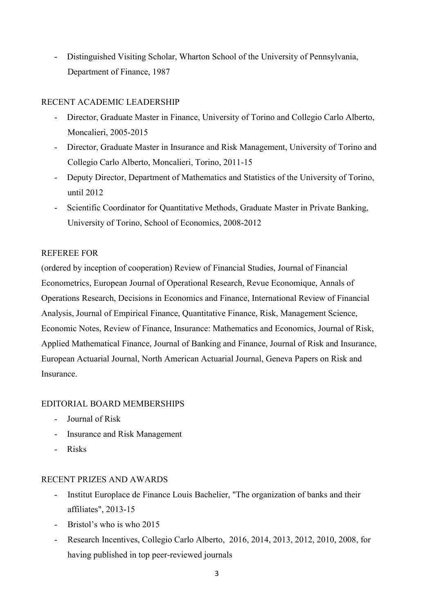Distinguished Visiting Scholar, Wharton School of the University of Pennsylvania, Department of Finance, 1987

## RECENT ACADEMIC LEADERSHIP

- Director, Graduate Master in Finance, University of Torino and Collegio Carlo Alberto, Moncalieri, 2005-2015
- Director, Graduate Master in Insurance and Risk Management, University of Torino and Collegio Carlo Alberto, Moncalieri, Torino, 2011-15
- Deputy Director, Department of Mathematics and Statistics of the University of Torino, until 2012
- Scientific Coordinator for Quantitative Methods, Graduate Master in Private Banking, University of Torino, School of Economics, 2008-2012

## REFEREE FOR

(ordered by inception of cooperation) Review of Financial Studies, Journal of Financial Econometrics, European Journal of Operational Research, Revue Economique, Annals of Operations Research, Decisions in Economics and Finance, International Review of Financial Analysis, Journal of Empirical Finance, Quantitative Finance, Risk, Management Science, Economic Notes, Review of Finance, Insurance: Mathematics and Economics, Journal of Risk, Applied Mathematical Finance, Journal of Banking and Finance, Journal of Risk and Insurance, European Actuarial Journal, North American Actuarial Journal, Geneva Papers on Risk and Insurance.

# EDITORIAL BOARD MEMBERSHIPS

- Journal of Risk
- Insurance and Risk Management
- Risks

## RECENT PRIZES AND AWARDS

- Institut Europlace de Finance Louis Bachelier, "The organization of banks and their affiliates", 2013-15
- Bristol's who is who 2015
- Research Incentives, Collegio Carlo Alberto, 2016, 2014, 2013, 2012, 2010, 2008, for having published in top peer-reviewed journals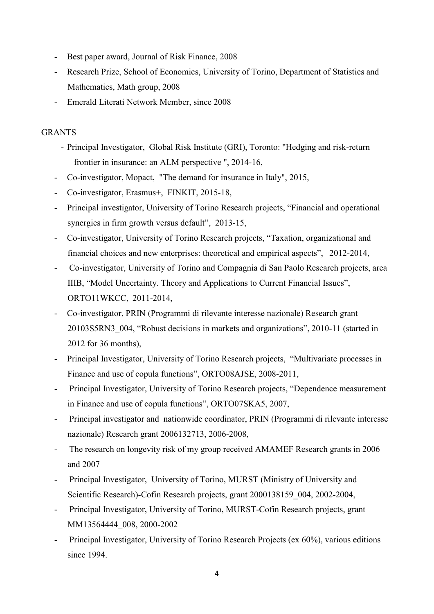- Best paper award, Journal of Risk Finance, 2008
- Research Prize, School of Economics, University of Torino, Department of Statistics and Mathematics, Math group, 2008
- Emerald Literati Network Member, since 2008

## GRANTS

- Principal Investigator, Global Risk Institute (GRI), Toronto: "Hedging and risk-return frontier in insurance: an ALM perspective ", 2014-16,
- Co-investigator, Mopact, "The demand for insurance in Italy", 2015,
- Co-investigator, Erasmus+, FINKIT, 2015-18,
- Principal investigator, University of Torino Research projects, "Financial and operational synergies in firm growth versus default", 2013-15,
- Co-investigator, University of Torino Research projects, "Taxation, organizational and financial choices and new enterprises: theoretical and empirical aspects", 2012-2014,
- Co-investigator, University of Torino and Compagnia di San Paolo Research projects, area IIIB, "Model Uncertainty. Theory and Applications to Current Financial Issues", ORTO11WKCC, 2011-2014,
- Co-investigator, PRIN (Programmi di rilevante interesse nazionale) Research grant 20103S5RN3\_004, "Robust decisions in markets and organizations", 2010-11 (started in 2012 for 36 months),
- Principal Investigator, University of Torino Research projects, "Multivariate processes in Finance and use of copula functions", ORTO08AJSE, 2008-2011,
- Principal Investigator, University of Torino Research projects, "Dependence measurement in Finance and use of copula functions", ORTO07SKA5, 2007,
- Principal investigator and nationwide coordinator, PRIN (Programmi di rilevante interesse nazionale) Research grant 2006132713, 2006-2008,
- The research on longevity risk of my group received AMAMEF Research grants in 2006 and 2007
- Principal Investigator, University of Torino, MURST (Ministry of University and Scientific Research)-Cofin Research projects, grant 2000138159\_004, 2002-2004,
- Principal Investigator, University of Torino, MURST-Cofin Research projects, grant MM13564444\_008, 2000-2002
- Principal Investigator, University of Torino Research Projects (ex 60%), various editions since 1994.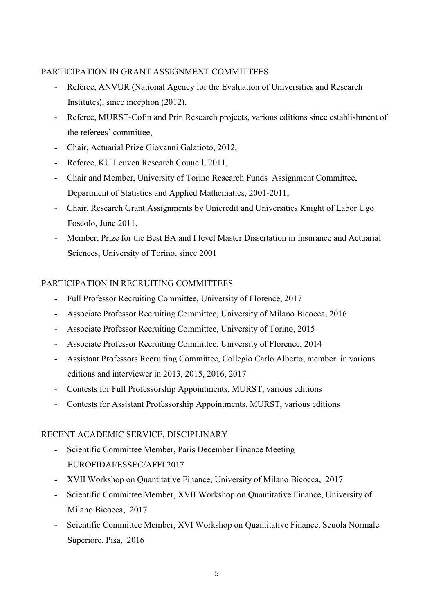## PARTICIPATION IN GRANT ASSIGNMENT COMMITTEES

- Referee, ANVUR (National Agency for the Evaluation of Universities and Research Institutes), since inception (2012),
- Referee, MURST-Cofin and Prin Research projects, various editions since establishment of the referees' committee,
- Chair, Actuarial Prize Giovanni Galatioto, 2012,
- Referee, KU Leuven Research Council, 2011,
- Chair and Member, University of Torino Research Funds Assignment Committee, Department of Statistics and Applied Mathematics, 2001-2011,
- Chair, Research Grant Assignments by Unicredit and Universities Knight of Labor Ugo Foscolo, June 2011,
- Member, Prize for the Best BA and I level Master Dissertation in Insurance and Actuarial Sciences, University of Torino, since 2001

## PARTICIPATION IN RECRUITING COMMITTEES

- Full Professor Recruiting Committee, University of Florence, 2017
- Associate Professor Recruiting Committee, University of Milano Bicocca, 2016
- Associate Professor Recruiting Committee, University of Torino, 2015
- Associate Professor Recruiting Committee, University of Florence, 2014
- Assistant Professors Recruiting Committee, Collegio Carlo Alberto, member in various editions and interviewer in 2013, 2015, 2016, 2017
- Contests for Full Professorship Appointments, MURST, various editions
- Contests for Assistant Professorship Appointments, MURST, various editions

## RECENT ACADEMIC SERVICE, DISCIPLINARY

- Scientific Committee Member, Paris December Finance Meeting EUROFIDAI/ESSEC/AFFI 2017
- XVII Workshop on Quantitative Finance, University of Milano Bicocca, 2017
- Scientific Committee Member, XVII Workshop on Quantitative Finance, University of Milano Bicocca, 2017
- Scientific Committee Member, XVI Workshop on Quantitative Finance, Scuola Normale Superiore, Pisa, 2016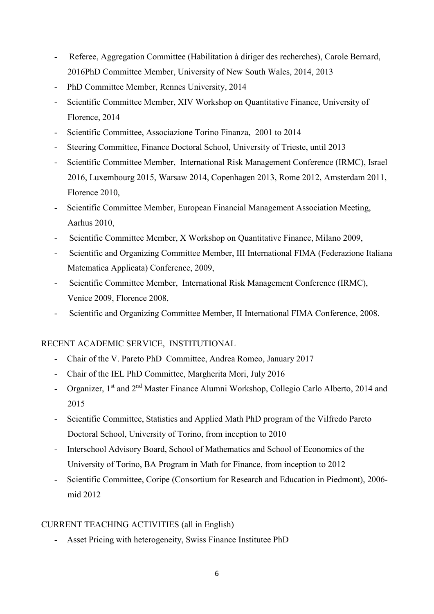- Referee, Aggregation Committee (Habilitation à diriger des recherches), Carole Bernard, 2016PhD Committee Member, University of New South Wales, 2014, 2013
- PhD Committee Member, Rennes University, 2014
- Scientific Committee Member, XIV Workshop on Quantitative Finance, University of Florence, 2014
- Scientific Committee, Associazione Torino Finanza, 2001 to 2014
- Steering Committee, Finance Doctoral School, University of Trieste, until 2013
- Scientific Committee Member, International Risk Management Conference (IRMC), Israel 2016, Luxembourg 2015, Warsaw 2014, Copenhagen 2013, Rome 2012, Amsterdam 2011, Florence 2010,
- Scientific Committee Member, European Financial Management Association Meeting, Aarhus 2010,
- Scientific Committee Member, X Workshop on Quantitative Finance, Milano 2009,
- Scientific and Organizing Committee Member, III International FIMA (Federazione Italiana Matematica Applicata) Conference, 2009,
- Scientific Committee Member, International Risk Management Conference (IRMC), Venice 2009, Florence 2008,
- Scientific and Organizing Committee Member, II International FIMA Conference, 2008.

# RECENT ACADEMIC SERVICE, INSTITUTIONAL

- Chair of the V. Pareto PhD Committee, Andrea Romeo, January 2017
- Chair of the IEL PhD Committee, Margherita Mori, July 2016
- Organizer, 1<sup>st</sup> and 2<sup>nd</sup> Master Finance Alumni Workshop, Collegio Carlo Alberto, 2014 and 2015
- Scientific Committee, Statistics and Applied Math PhD program of the Vilfredo Pareto Doctoral School, University of Torino, from inception to 2010
- Interschool Advisory Board, School of Mathematics and School of Economics of the University of Torino, BA Program in Math for Finance, from inception to 2012
- Scientific Committee, Coripe (Consortium for Research and Education in Piedmont), 2006 mid 2012

## CURRENT TEACHING ACTIVITIES (all in English)

- Asset Pricing with heterogeneity, Swiss Finance Institutee PhD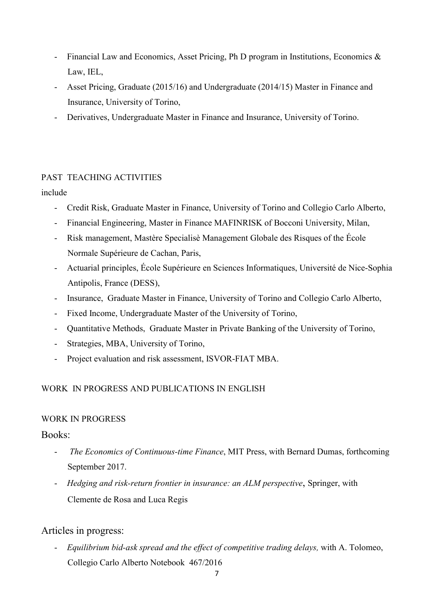- Financial Law and Economics, Asset Pricing, Ph D program in Institutions, Economics & Law, IEL,
- Asset Pricing, Graduate (2015/16) and Undergraduate (2014/15) Master in Finance and Insurance, University of Torino,
- Derivatives, Undergraduate Master in Finance and Insurance, University of Torino.

# PAST TEACHING ACTIVITIES

## include

- Credit Risk, Graduate Master in Finance, University of Torino and Collegio Carlo Alberto,
- Financial Engineering, Master in Finance MAFINRISK of Bocconi University, Milan,
- Risk management, Mastère Specialisè Management Globale des Risques of the École Normale Supérieure de Cachan, Paris,
- Actuarial principles, École Supérieure en Sciences Informatiques, Université de Nice-Sophia Antipolis, France (DESS),
- Insurance, Graduate Master in Finance, University of Torino and Collegio Carlo Alberto,
- Fixed Income, Undergraduate Master of the University of Torino,
- Quantitative Methods, Graduate Master in Private Banking of the University of Torino,
- Strategies, MBA, University of Torino,
- Project evaluation and risk assessment, ISVOR-FIAT MBA.

# WORK IN PROGRESS AND PUBLICATIONS IN ENGLISH

# WORK IN PROGRESS

# Books:

- The Economics of Continuous-time Finance, MIT Press, with Bernard Dumas, forthcoming September 2017.
- Hedging and risk-return frontier in insurance: an ALM perspective, Springer, with Clemente de Rosa and Luca Regis

# Articles in progress:

- Equilibrium bid-ask spread and the effect of competitive trading delays, with A. Tolomeo, Collegio Carlo Alberto Notebook 467/2016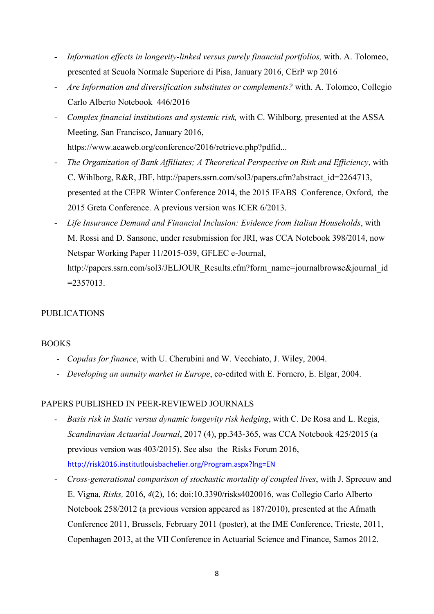- Information effects in longevity-linked versus purely financial portfolios, with. A. Tolomeo, presented at Scuola Normale Superiore di Pisa, January 2016, CErP wp 2016
- Are Information and diversification substitutes or complements? with. A. Tolomeo, Collegio Carlo Alberto Notebook 446/2016
- Complex financial institutions and systemic risk, with C. Wihlborg, presented at the ASSA Meeting, San Francisco, January 2016, https://www.aeaweb.org/conference/2016/retrieve.php?pdfid...
- The Organization of Bank Affiliates; A Theoretical Perspective on Risk and Efficiency, with C. Wihlborg, R&R, JBF, http://papers.ssrn.com/sol3/papers.cfm?abstract\_id=2264713, presented at the CEPR Winter Conference 2014, the 2015 IFABS Conference, Oxford, the 2015 Greta Conference. A previous version was ICER 6/2013.
- Life Insurance Demand and Financial Inclusion: Evidence from Italian Households, with M. Rossi and D. Sansone, under resubmission for JRI, was CCA Notebook 398/2014, now Netspar Working Paper 11/2015-039, GFLEC e-Journal, http://papers.ssrn.com/sol3/JELJOUR\_Results.cfm?form\_name=journalbrowse&journal\_id  $= 2357013$ .

## PUBLICATIONS

## BOOKS

- Copulas for finance, with U. Cherubini and W. Vecchiato, J. Wiley, 2004.
- Developing an annuity market in Europe, co-edited with E. Fornero, E. Elgar, 2004.

## PAPERS PUBLISHED IN PEER-REVIEWED JOURNALS

- Basis risk in Static versus dynamic longevity risk hedging, with C. De Rosa and L. Regis, Scandinavian Actuarial Journal, 2017 (4), pp.343-365, was CCA Notebook 425/2015 (a previous version was 403/2015). See also the Risks Forum 2016, http://risk2016.institutlouisbachelier.org/Program.aspx?lng=EN
- Cross-generational comparison of stochastic mortality of coupled lives, with J. Spreeuw and E. Vigna, Risks, 2016, 4(2), 16; doi:10.3390/risks4020016, was Collegio Carlo Alberto Notebook 258/2012 (a previous version appeared as 187/2010), presented at the Afmath Conference 2011, Brussels, February 2011 (poster), at the IME Conference, Trieste, 2011, Copenhagen 2013, at the VII Conference in Actuarial Science and Finance, Samos 2012.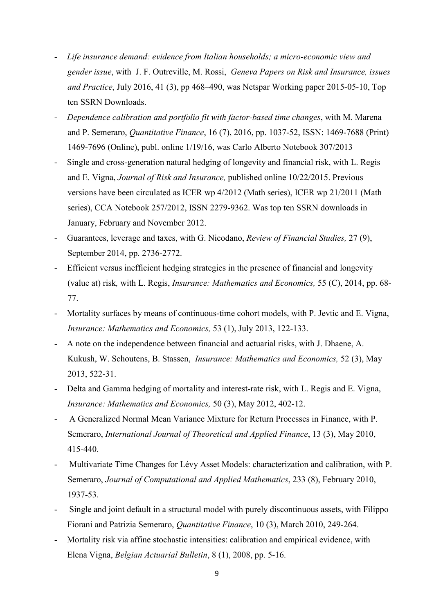- Life insurance demand: evidence from Italian households; a micro-economic view and gender issue, with J. F. Outreville, M. Rossi, Geneva Papers on Risk and Insurance, issues and Practice, July 2016, 41 (3), pp 468–490, was Netspar Working paper 2015-05-10, Top ten SSRN Downloads.
- Dependence calibration and portfolio fit with factor-based time changes, with M. Marena and P. Semeraro, Quantitative Finance, 16 (7), 2016, pp. 1037-52, ISSN: 1469-7688 (Print) 1469-7696 (Online), publ. online 1/19/16, was Carlo Alberto Notebook 307/2013
- Single and cross-generation natural hedging of longevity and financial risk, with L. Regis and E. Vigna, Journal of Risk and Insurance, published online 10/22/2015. Previous versions have been circulated as ICER wp 4/2012 (Math series), ICER wp 21/2011 (Math series), CCA Notebook 257/2012, ISSN 2279-9362. Was top ten SSRN downloads in January, February and November 2012.
- Guarantees, leverage and taxes, with G. Nicodano, Review of Financial Studies, 27 (9), September 2014, pp. 2736-2772.
- Efficient versus inefficient hedging strategies in the presence of financial and longevity (value at) risk, with L. Regis, Insurance: Mathematics and Economics, 55 (C), 2014, pp. 68- 77.
- Mortality surfaces by means of continuous-time cohort models, with P. Jevtic and E. Vigna, Insurance: Mathematics and Economics, 53 (1), July 2013, 122-133.
- A note on the independence between financial and actuarial risks, with J. Dhaene, A. Kukush, W. Schoutens, B. Stassen, Insurance: Mathematics and Economics, 52 (3), May 2013, 522-31.
- Delta and Gamma hedging of mortality and interest-rate risk, with L. Regis and E. Vigna, Insurance: Mathematics and Economics, 50 (3), May 2012, 402-12.
- A Generalized Normal Mean Variance Mixture for Return Processes in Finance, with P. Semeraro, International Journal of Theoretical and Applied Finance, 13 (3), May 2010, 415-440.
- Multivariate Time Changes for Lévy Asset Models: characterization and calibration, with P. Semeraro, Journal of Computational and Applied Mathematics, 233 (8), February 2010, 1937-53.
- Single and joint default in a structural model with purely discontinuous assets, with Filippo Fiorani and Patrizia Semeraro, Quantitative Finance, 10 (3), March 2010, 249-264.
- Mortality risk via affine stochastic intensities: calibration and empirical evidence, with Elena Vigna, Belgian Actuarial Bulletin, 8 (1), 2008, pp. 5-16.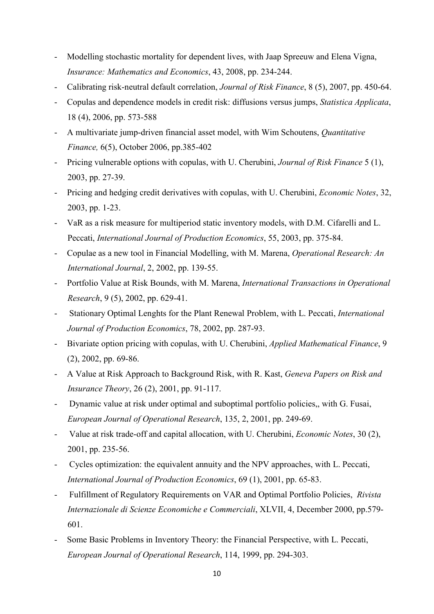- Modelling stochastic mortality for dependent lives, with Jaap Spreeuw and Elena Vigna, Insurance: Mathematics and Economics, 43, 2008, pp. 234-244.
- Calibrating risk-neutral default correlation, *Journal of Risk Finance*, 8 (5), 2007, pp. 450-64.
- Copulas and dependence models in credit risk: diffusions versus jumps, Statistica Applicata, 18 (4), 2006, pp. 573-588
- A multivariate jump-driven financial asset model, with Wim Schoutens, *Quantitative* Finance, 6(5), October 2006, pp.385-402
- Pricing vulnerable options with copulas, with U. Cherubini, *Journal of Risk Finance* 5 (1), 2003, pp. 27-39.
- Pricing and hedging credit derivatives with copulas, with U. Cherubini, *Economic Notes*, 32, 2003, pp. 1-23.
- VaR as a risk measure for multiperiod static inventory models, with D.M. Cifarelli and L. Peccati, International Journal of Production Economics, 55, 2003, pp. 375-84.
- Copulae as a new tool in Financial Modelling, with M. Marena, Operational Research: An International Journal, 2, 2002, pp. 139-55.
- Portfolio Value at Risk Bounds, with M. Marena, International Transactions in Operational Research, 9 (5), 2002, pp. 629-41.
- Stationary Optimal Lenghts for the Plant Renewal Problem, with L. Peccati, *International* Journal of Production Economics, 78, 2002, pp. 287-93.
- Bivariate option pricing with copulas, with U. Cherubini, *Applied Mathematical Finance*, 9 (2), 2002, pp. 69-86.
- A Value at Risk Approach to Background Risk, with R. Kast, Geneva Papers on Risk and Insurance Theory, 26 (2), 2001, pp. 91-117.
- Dynamic value at risk under optimal and suboptimal portfolio policies,, with G. Fusai, European Journal of Operational Research, 135, 2, 2001, pp. 249-69.
- Value at risk trade-off and capital allocation, with U. Cherubini, *Economic Notes*, 30 (2), 2001, pp. 235-56.
- Cycles optimization: the equivalent annuity and the NPV approaches, with L. Peccati, International Journal of Production Economics, 69 (1), 2001, pp. 65-83.
- Fulfillment of Regulatory Requirements on VAR and Optimal Portfolio Policies, Rivista Internazionale di Scienze Economiche e Commerciali, XLVII, 4, December 2000, pp.579- 601.
- Some Basic Problems in Inventory Theory: the Financial Perspective, with L. Peccati, European Journal of Operational Research, 114, 1999, pp. 294-303.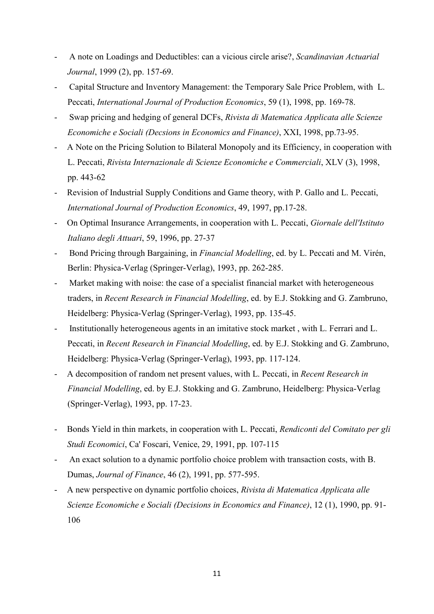- A note on Loadings and Deductibles: can a vicious circle arise?, Scandinavian Actuarial Journal, 1999 (2), pp. 157-69.
- Capital Structure and Inventory Management: the Temporary Sale Price Problem, with L. Peccati, International Journal of Production Economics, 59 (1), 1998, pp. 169-78.
- Swap pricing and hedging of general DCFs, Rivista di Matematica Applicata alle Scienze Economiche e Sociali (Decsions in Economics and Finance), XXI, 1998, pp.73-95.
- A Note on the Pricing Solution to Bilateral Monopoly and its Efficiency, in cooperation with L. Peccati, Rivista Internazionale di Scienze Economiche e Commerciali, XLV (3), 1998, pp. 443-62
- Revision of Industrial Supply Conditions and Game theory, with P. Gallo and L. Peccati, International Journal of Production Economics, 49, 1997, pp.17-28.
- On Optimal Insurance Arrangements, in cooperation with L. Peccati, *Giornale dell'Istituto* Italiano degli Attuari, 59, 1996, pp. 27-37
- Bond Pricing through Bargaining, in Financial Modelling, ed. by L. Peccati and M. Virén, Berlin: Physica-Verlag (Springer-Verlag), 1993, pp. 262-285.
- Market making with noise: the case of a specialist financial market with heterogeneous traders, in Recent Research in Financial Modelling, ed. by E.J. Stokking and G. Zambruno, Heidelberg: Physica-Verlag (Springer-Verlag), 1993, pp. 135-45.
- Institutionally heterogeneous agents in an imitative stock market , with L. Ferrari and L. Peccati, in Recent Research in Financial Modelling, ed. by E.J. Stokking and G. Zambruno, Heidelberg: Physica-Verlag (Springer-Verlag), 1993, pp. 117-124.
- A decomposition of random net present values, with L. Peccati, in Recent Research in Financial Modelling, ed. by E.J. Stokking and G. Zambruno, Heidelberg: Physica-Verlag (Springer-Verlag), 1993, pp. 17-23.
- Bonds Yield in thin markets, in cooperation with L. Peccati, Rendiconti del Comitato per gli Studi Economici, Ca' Foscari, Venice, 29, 1991, pp. 107-115
- An exact solution to a dynamic portfolio choice problem with transaction costs, with B. Dumas, Journal of Finance, 46 (2), 1991, pp. 577-595.
- A new perspective on dynamic portfolio choices, Rivista di Matematica Applicata alle Scienze Economiche e Sociali (Decisions in Economics and Finance), 12 (1), 1990, pp. 91- 106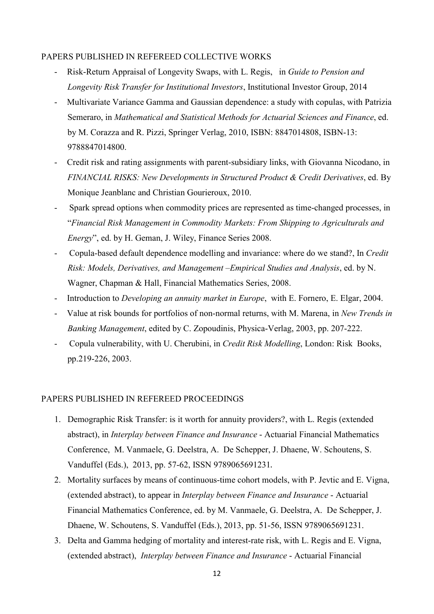#### PAPERS PUBLISHED IN REFEREED COLLECTIVE WORKS

- Risk-Return Appraisal of Longevity Swaps, with L. Regis, in Guide to Pension and Longevity Risk Transfer for Institutional Investors, Institutional Investor Group, 2014
- Multivariate Variance Gamma and Gaussian dependence: a study with copulas, with Patrizia Semeraro, in Mathematical and Statistical Methods for Actuarial Sciences and Finance, ed. by M. Corazza and R. Pizzi, Springer Verlag, 2010, ISBN: 8847014808, ISBN-13: 9788847014800.
- Credit risk and rating assignments with parent-subsidiary links, with Giovanna Nicodano, in FINANCIAL RISKS: New Developments in Structured Product & Credit Derivatives, ed. By Monique Jeanblanc and Christian Gourieroux, 2010.
- Spark spread options when commodity prices are represented as time-changed processes, in "Financial Risk Management in Commodity Markets: From Shipping to Agriculturals and Energy", ed. by H. Geman, J. Wiley, Finance Series 2008.
- Copula-based default dependence modelling and invariance: where do we stand?, In Credit Risk: Models, Derivatives, and Management –Empirical Studies and Analysis, ed. by N. Wagner, Chapman & Hall, Financial Mathematics Series, 2008.
- Introduction to *Developing an annuity market in Europe*, with E. Fornero, E. Elgar, 2004.
- Value at risk bounds for portfolios of non-normal returns, with M. Marena, in New Trends in Banking Management, edited by C. Zopoudinis, Physica-Verlag, 2003, pp. 207-222.
- Copula vulnerability, with U. Cherubini, in Credit Risk Modelling, London: Risk Books, pp.219-226, 2003.

#### PAPERS PUBLISHED IN REFEREED PROCEEDINGS

- 1. Demographic Risk Transfer: is it worth for annuity providers?, with L. Regis (extended abstract), in Interplay between Finance and Insurance - Actuarial Financial Mathematics Conference, M. Vanmaele, G. Deelstra, A. De Schepper, J. Dhaene, W. Schoutens, S. Vanduffel (Eds.), 2013, pp. 57-62, ISSN 9789065691231.
- 2. Mortality surfaces by means of continuous-time cohort models, with P. Jevtic and E. Vigna, (extended abstract), to appear in Interplay between Finance and Insurance - Actuarial Financial Mathematics Conference, ed. by M. Vanmaele, G. Deelstra, A. De Schepper, J. Dhaene, W. Schoutens, S. Vanduffel (Eds.), 2013, pp. 51-56, ISSN 9789065691231.
- 3. Delta and Gamma hedging of mortality and interest-rate risk, with L. Regis and E. Vigna, (extended abstract), Interplay between Finance and Insurance - Actuarial Financial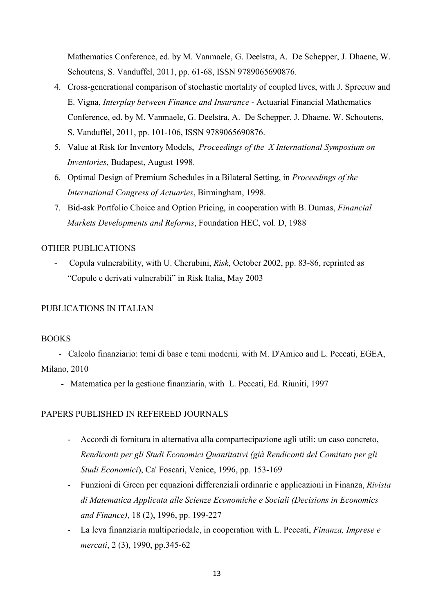Mathematics Conference, ed. by M. Vanmaele, G. Deelstra, A. De Schepper, J. Dhaene, W. Schoutens, S. Vanduffel, 2011, pp. 61-68, ISSN 9789065690876.

- 4. Cross-generational comparison of stochastic mortality of coupled lives, with J. Spreeuw and E. Vigna, Interplay between Finance and Insurance - Actuarial Financial Mathematics Conference, ed. by M. Vanmaele, G. Deelstra, A. De Schepper, J. Dhaene, W. Schoutens, S. Vanduffel, 2011, pp. 101-106, ISSN 9789065690876.
- 5. Value at Risk for Inventory Models, Proceedings of the X International Symposium on Inventories, Budapest, August 1998.
- 6. Optimal Design of Premium Schedules in a Bilateral Setting, in Proceedings of the International Congress of Actuaries, Birmingham, 1998.
- 7. Bid-ask Portfolio Choice and Option Pricing, in cooperation with B. Dumas, Financial Markets Developments and Reforms, Foundation HEC, vol. D, 1988

#### OTHER PUBLICATIONS

- Copula vulnerability, with U. Cherubini, Risk, October 2002, pp. 83-86, reprinted as "Copule e derivati vulnerabili" in Risk Italia, May 2003

## PUBLICATIONS IN ITALIAN

#### BOOKS

 - Calcolo finanziario: temi di base e temi moderni, with M. D'Amico and L. Peccati, EGEA, Milano, 2010

- Matematica per la gestione finanziaria, with L. Peccati, Ed. Riuniti, 1997

#### PAPERS PUBLISHED IN REFEREED JOURNALS

- Accordi di fornitura in alternativa alla compartecipazione agli utili: un caso concreto, Rendiconti per gli Studi Economici Quantitativi (già Rendiconti del Comitato per gli Studi Economici), Ca' Foscari, Venice, 1996, pp. 153-169
- Funzioni di Green per equazioni differenziali ordinarie e applicazioni in Finanza, Rivista di Matematica Applicata alle Scienze Economiche e Sociali (Decisions in Economics and Finance), 18 (2), 1996, pp. 199-227
- La leva finanziaria multiperiodale, in cooperation with L. Peccati, Finanza, Imprese e mercati, 2 (3), 1990, pp.345-62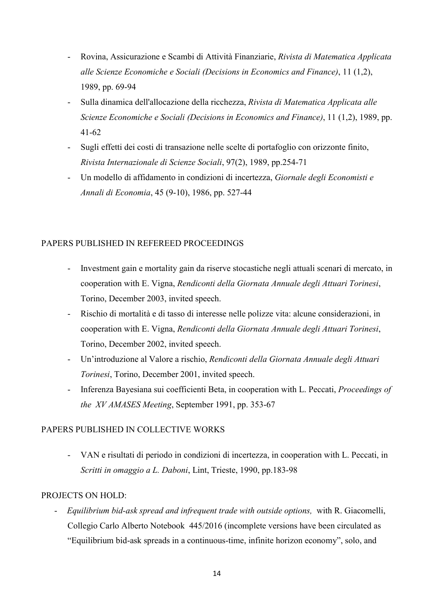- Rovina, Assicurazione e Scambi di Attività Finanziarie, Rivista di Matematica Applicata alle Scienze Economiche e Sociali (Decisions in Economics and Finance), 11 (1,2), 1989, pp. 69-94
- Sulla dinamica dell'allocazione della ricchezza, Rivista di Matematica Applicata alle Scienze Economiche e Sociali (Decisions in Economics and Finance), 11 (1,2), 1989, pp. 41-62
- Sugli effetti dei costi di transazione nelle scelte di portafoglio con orizzonte finito, Rivista Internazionale di Scienze Sociali, 97(2), 1989, pp.254-71
- Un modello di affidamento in condizioni di incertezza, Giornale degli Economisti e Annali di Economia, 45 (9-10), 1986, pp. 527-44

## PAPERS PUBLISHED IN REFEREED PROCEEDINGS

- Investment gain e mortality gain da riserve stocastiche negli attuali scenari di mercato, in cooperation with E. Vigna, Rendiconti della Giornata Annuale degli Attuari Torinesi, Torino, December 2003, invited speech.
- Rischio di mortalità e di tasso di interesse nelle polizze vita: alcune considerazioni, in cooperation with E. Vigna, Rendiconti della Giornata Annuale degli Attuari Torinesi, Torino, December 2002, invited speech.
- Un'introduzione al Valore a rischio, Rendiconti della Giornata Annuale degli Attuari Torinesi, Torino, December 2001, invited speech.
- Inferenza Bayesiana sui coefficienti Beta, in cooperation with L. Peccati, *Proceedings of* the XV AMASES Meeting, September 1991, pp. 353-67

#### PAPERS PUBLISHED IN COLLECTIVE WORKS

- VAN e risultati di periodo in condizioni di incertezza, in cooperation with L. Peccati, in Scritti in omaggio a L. Daboni, Lint, Trieste, 1990, pp.183-98

#### PROJECTS ON HOLD:

- Equilibrium bid-ask spread and infrequent trade with outside options, with R. Giacomelli, Collegio Carlo Alberto Notebook 445/2016 (incomplete versions have been circulated as "Equilibrium bid-ask spreads in a continuous-time, infinite horizon economy", solo, and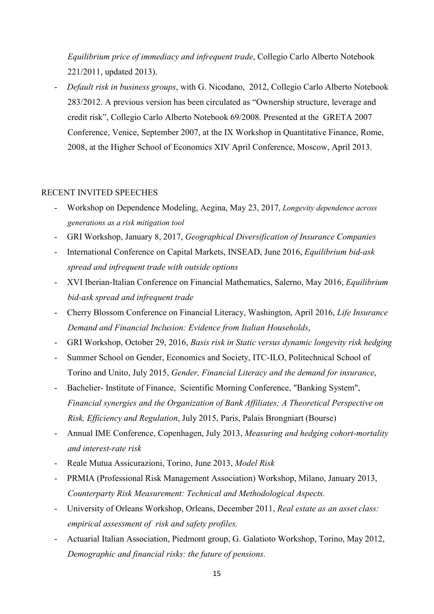Equilibrium price of immediacy and infrequent trade, Collegio Carlo Alberto Notebook 221/2011, updated 2013).

- Default risk in business groups, with G. Nicodano, 2012, Collegio Carlo Alberto Notebook 283/2012. A previous version has been circulated as "Ownership structure, leverage and credit risk", Collegio Carlo Alberto Notebook 69/2008. Presented at the GRETA 2007 Conference, Venice, September 2007, at the IX Workshop in Quantitative Finance, Rome, 2008, at the Higher School of Economics XIV April Conference, Moscow, April 2013.

#### RECENT INVITED SPEECHES

- Workshop on Dependence Modeling, Aegina, May 23, 2017, Longevity dependence across generations as a risk mitigation tool
- GRI Workshop, January 8, 2017, Geographical Diversification of Insurance Companies
- International Conference on Capital Markets, INSEAD, June 2016, *Equilibrium bid-ask* spread and infrequent trade with outside options
- XVI Iberian-Italian Conference on Financial Mathematics, Salerno, May 2016, *Equilibrium* bid-ask spread and infrequent trade
- Cherry Blossom Conference on Financial Literacy, Washington, April 2016, Life Insurance Demand and Financial Inclusion: Evidence from Italian Households,
- GRI Workshop, October 29, 2016, Basis risk in Static versus dynamic longevity risk hedging
- Summer School on Gender, Economics and Society, ITC-ILO, Politechnical School of Torino and Unito, July 2015, Gender, Financial Literacy and the demand for insurance,
- Bachelier- Institute of Finance, Scientific Morning Conference, "Banking System", Financial synergies and the Organization of Bank Affiliates; A Theoretical Perspective on Risk, Efficiency and Regulation, July 2015, Paris, Palais Brongniart (Bourse)
- Annual IME Conference, Copenhagen, July 2013, Measuring and hedging cohort-mortality and interest-rate risk
- Reale Mutua Assicurazioni, Torino, June 2013, Model Risk
- PRMIA (Professional Risk Management Association) Workshop, Milano, January 2013, Counterparty Risk Measurement: Technical and Methodological Aspects.
- University of Orleans Workshop, Orleans, December 2011, Real estate as an asset class: empirical assessment of risk and safety profiles.
- Actuarial Italian Association, Piedmont group, G. Galatioto Workshop, Torino, May 2012, Demographic and financial risks: the future of pensions.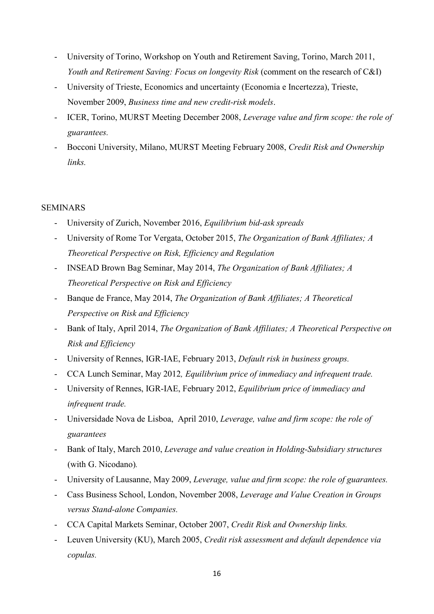- University of Torino, Workshop on Youth and Retirement Saving, Torino, March 2011, Youth and Retirement Saving: Focus on longevity Risk (comment on the research of C&I)
- University of Trieste, Economics and uncertainty (Economia e Incertezza), Trieste, November 2009, Business time and new credit-risk models.
- ICER, Torino, MURST Meeting December 2008, Leverage value and firm scope: the role of guarantees.
- Bocconi University, Milano, MURST Meeting February 2008, Credit Risk and Ownership links.

## SEMINARS

- University of Zurich, November 2016, Equilibrium bid-ask spreads
- University of Rome Tor Vergata, October 2015, The Organization of Bank Affiliates; A Theoretical Perspective on Risk, Efficiency and Regulation
- INSEAD Brown Bag Seminar, May 2014, The Organization of Bank Affiliates; A Theoretical Perspective on Risk and Efficiency
- Banque de France, May 2014, The Organization of Bank Affiliates; A Theoretical Perspective on Risk and Efficiency
- Bank of Italy, April 2014, The Organization of Bank Affiliates; A Theoretical Perspective on Risk and Efficiency
- University of Rennes, IGR-IAE, February 2013, Default risk in business groups.
- CCA Lunch Seminar, May 2012, Equilibrium price of immediacy and infrequent trade.
- University of Rennes, IGR-IAE, February 2012, *Equilibrium price of immediacy and* infrequent trade.
- Universidade Nova de Lisboa, April 2010, Leverage, value and firm scope: the role of guarantees
- Bank of Italy, March 2010, Leverage and value creation in Holding-Subsidiary structures (with G. Nicodano).
- University of Lausanne, May 2009, Leverage, value and firm scope: the role of guarantees.
- Cass Business School, London, November 2008, Leverage and Value Creation in Groups versus Stand-alone Companies.
- CCA Capital Markets Seminar, October 2007, Credit Risk and Ownership links.
- Leuven University (KU), March 2005, Credit risk assessment and default dependence via copulas.